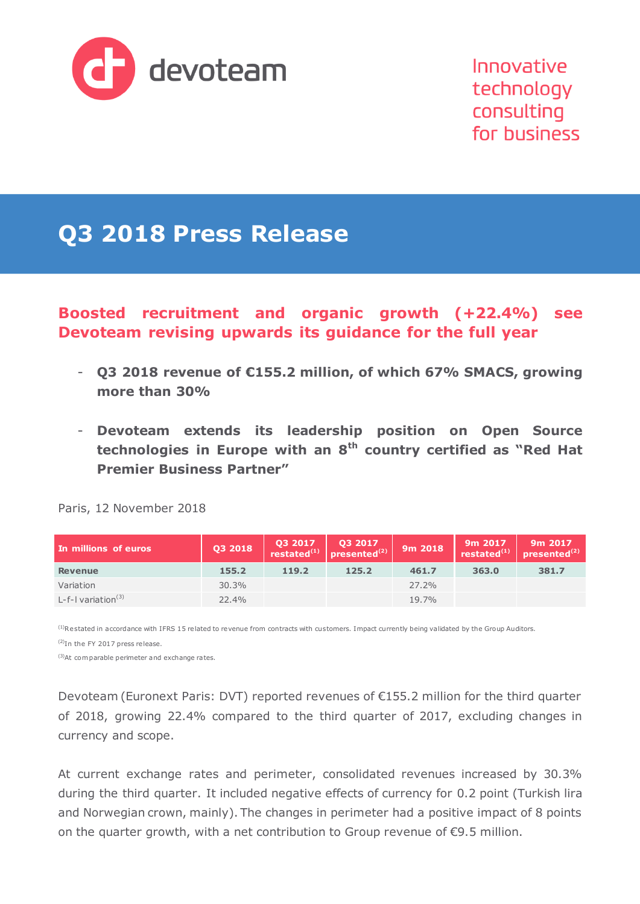

Innovative technology consulting for business

# **Q3 2018 Press Release**

### **Boosted recruitment and organic growth (+22.4%) see Devoteam revising upwards its guidance for the full year**

- **Q3 2018 revenue of €155.2 million, of which 67% SMACS, growing more than 30%**
- **Devoteam extends its leadership position on Open Source technologies in Europe with an 8th country certified as "Red Hat Premier Business Partner"**

| In millions of euros             | Q3 2018 | Q3 2017 | 03 2017<br>presented <sup>(2)</sup> | 9m 2018 | 9m 2017<br>restated $^{(1)}$ | 9m 2017<br>presented $^{(2)}$ |
|----------------------------------|---------|---------|-------------------------------------|---------|------------------------------|-------------------------------|
| <b>Revenue</b>                   | 155.2   | 119.2   | 125.2                               | 461.7   | 363.0                        | 381.7                         |
| Variation                        | 30.3%   |         |                                     | 27.2%   |                              |                               |
| $L-f-I$ variation <sup>(3)</sup> | 22.4%   |         |                                     | 19.7%   |                              |                               |

Paris, 12 November 2018

<sup>(1)</sup>Restated in accordance with IFRS 15 related to revenue from contracts with customers. Impact currently being validated by the Group Auditors.

(2)In the FY 2017 press release.

(3)At com parable perimeter and exchange rates.

Devoteam (Euronext Paris: DVT) reported revenues of €155.2 million for the third quarter of 2018, growing 22.4% compared to the third quarter of 2017, excluding changes in currency and scope.

At current exchange rates and perimeter, consolidated revenues increased by 30.3% during the third quarter. It included negative effects of currency for 0.2 point (Turkish lira and Norwegian crown, mainly). The changes in perimeter had a positive impact of 8 points on the quarter growth, with a net contribution to Group revenue of €9.5 million.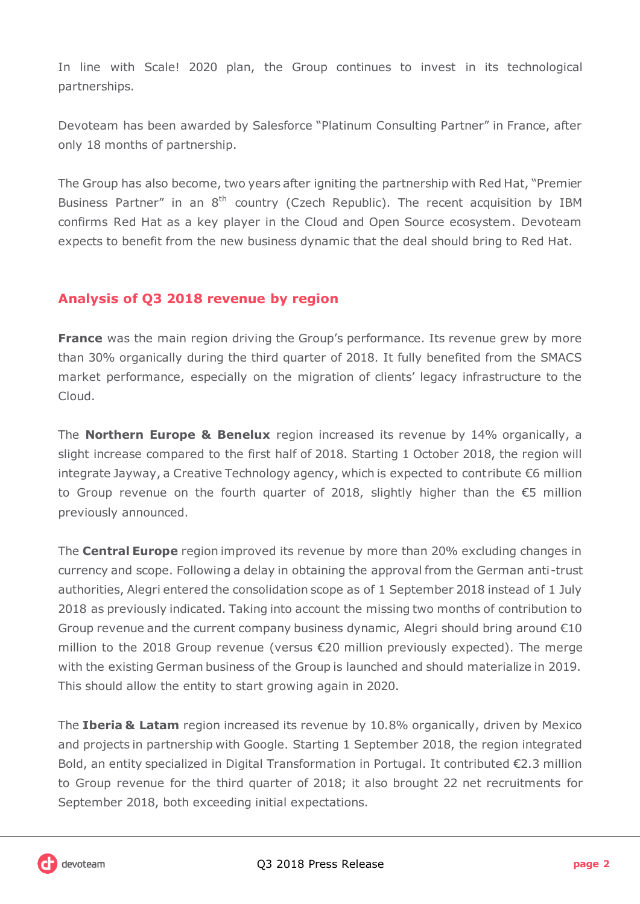In line with Scale! 2020 plan, the Group continues to invest in its technological partnerships.

Devoteam has been awarded by Salesforce "Platinum Consulting Partner" in France, after only 18 months of partnership.

The Group has also become, two years after igniting the partnership with Red Hat, "Premier Business Partner" in an  $8<sup>th</sup>$  country (Czech Republic). The recent acquisition by IBM confirms Red Hat as a key player in the Cloud and Open Source ecosystem. Devoteam expects to benefit from the new business dynamic that the deal should bring to Red Hat.

#### **Analysis of Q3 2018 revenue by region**

**France** was the main region driving the Group's performance. Its revenue grew by more than 30% organically during the third quarter of 2018. It fully benefited from the SMACS market performance, especially on the migration of clients' legacy infrastructure to the Cloud.

The **Northern Europe & Benelux** region increased its revenue by 14% organically, a slight increase compared to the first half of 2018. Starting 1 October 2018, the region will integrate Jayway, a Creative Technology agency, which is expected to contribute €6 million to Group revenue on the fourth quarter of 2018, slightly higher than the €5 million previously announced.

The **Central Europe** region improved its revenue by more than 20% excluding changes in currency and scope. Following a delay in obtaining the approval from the German anti-trust authorities, Alegri entered the consolidation scope as of 1 September 2018 instead of 1 July 2018 as previously indicated. Taking into account the missing two months of contribution to Group revenue and the current company business dynamic, Alegri should bring around  $E10$ million to the 2018 Group revenue (versus €20 million previously expected). The merge with the existing German business of the Group is launched and should materialize in 2019. This should allow the entity to start growing again in 2020.

The **Iberia & Latam** region increased its revenue by 10.8% organically, driven by Mexico and projects in partnership with Google. Starting 1 September 2018, the region integrated Bold, an entity specialized in Digital Transformation in Portugal. It contributed €2.3 million to Group revenue for the third quarter of 2018; it also brought 22 net recruitments for September 2018, both exceeding initial expectations.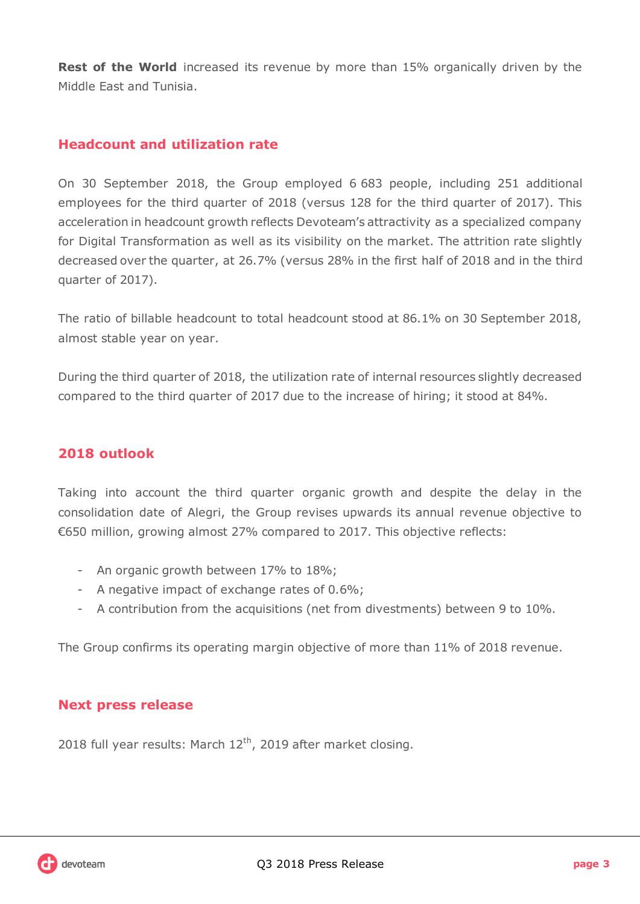**Rest of the World** increased its revenue by more than 15% organically driven by the Middle East and Tunisia.

#### **Headcount and utilization rate**

On 30 September 2018, the Group employed 6 683 people, including 251 additional employees for the third quarter of 2018 (versus 128 for the third quarter of 2017). This acceleration in headcount growth reflects Devoteam's attractivity as a specialized company for Digital Transformation as well as its visibility on the market. The attrition rate slightly decreased over the quarter, at 26.7% (versus 28% in the first half of 2018 and in the third quarter of 2017).

The ratio of billable headcount to total headcount stood at 86.1% on 30 September 2018, almost stable year on year.

During the third quarter of 2018, the utilization rate of internal resources slightly decreased compared to the third quarter of 2017 due to the increase of hiring; it stood at 84%.

#### **2018 outlook**

Taking into account the third quarter organic growth and despite the delay in the consolidation date of Alegri, the Group revises upwards its annual revenue objective to €650 million, growing almost 27% compared to 2017. This objective reflects:

- An organic growth between 17% to 18%;
- A negative impact of exchange rates of 0.6%;
- A contribution from the acquisitions (net from divestments) between 9 to 10%.

The Group confirms its operating margin objective of more than 11% of 2018 revenue.

#### **Next press release**

2018 full year results: March  $12<sup>th</sup>$ , 2019 after market closing.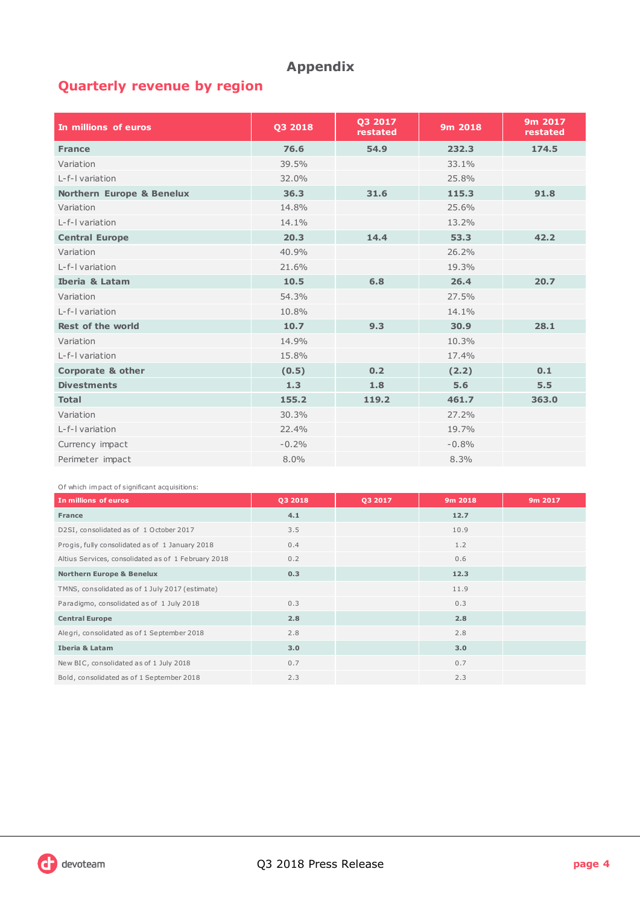### **Appendix**

## **Quarterly revenue by region**

| In millions of euros                 | Q3 2018 | 03 2017<br>restated | 9m 2018 | 9m 2017<br>restated |
|--------------------------------------|---------|---------------------|---------|---------------------|
| <b>France</b>                        | 76.6    | 54.9                | 232.3   | 174.5               |
| Variation                            | 39.5%   |                     | 33.1%   |                     |
| I-f-I variation                      | 32.0%   |                     | 25.8%   |                     |
| <b>Northern Europe &amp; Benelux</b> | 36.3    | 31.6                | 115.3   | 91.8                |
| Variation                            | 14.8%   |                     | 25.6%   |                     |
| L-f-I variation                      | 14.1%   |                     | 13.2%   |                     |
| <b>Central Europe</b>                | 20.3    | 14.4                | 53.3    | 42.2                |
| Variation                            | 40.9%   |                     | 26.2%   |                     |
| L-f-I variation                      | 21.6%   |                     | 19.3%   |                     |
| <b>Iberia &amp; Latam</b>            | 10.5    | 6.8                 | 26.4    | 20.7                |
| Variation                            | 54.3%   |                     | 27.5%   |                     |
| L-f-I variation                      | 10.8%   |                     | 14.1%   |                     |
| Rest of the world                    | 10.7    | 9.3                 | 30.9    | 28.1                |
| Variation                            | 14.9%   |                     | 10.3%   |                     |
| L-f-I variation                      | 15.8%   |                     | 17.4%   |                     |
| <b>Corporate &amp; other</b>         | (0.5)   | 0.2                 | (2.2)   | 0.1                 |
| <b>Divestments</b>                   | 1.3     | 1.8                 | 5.6     | 5.5                 |
| <b>Total</b>                         | 155.2   | 119.2               | 461.7   | 363.0               |
| Variation                            | 30.3%   |                     | 27.2%   |                     |
| L-f-I variation                      | 22.4%   |                     | 19.7%   |                     |
| Currency impact                      | $-0.2%$ |                     | $-0.8%$ |                     |
| Perimeter impact                     | 8.0%    |                     | 8.3%    |                     |

Of which im pact of significant acquisitions:

| In millions of euros                                | 03 2018 | 03 2017 | 9m 2018 | 9m 2017 |
|-----------------------------------------------------|---------|---------|---------|---------|
| <b>France</b>                                       | 4.1     |         | 12.7    |         |
| D2SI, consolidated as of 1 October 2017             | 3.5     |         | 10.9    |         |
| Progis, fully consolidated as of 1 January 2018     | 0.4     |         | 1.2     |         |
| Altius Services, consolidated as of 1 February 2018 | 0.2     |         | 0.6     |         |
| <b>Northern Europe &amp; Benelux</b>                | 0.3     |         | 12.3    |         |
| TMNS, consolidated as of 1 July 2017 (estimate)     |         |         | 11.9    |         |
| Paradigmo, consolidated as of 1 July 2018           | 0.3     |         | 0.3     |         |
| <b>Central Europe</b>                               | 2.8     |         | 2.8     |         |
| Alegri, consolidated as of 1 September 2018         | 2.8     |         | 2.8     |         |
| <b>Iberia &amp; Latam</b>                           | 3.0     |         | 3.0     |         |
| New BIC, consolidated as of 1 July 2018             | 0.7     |         | 0.7     |         |
| Bold, consolidated as of 1 September 2018           | 2.3     |         | 2.3     |         |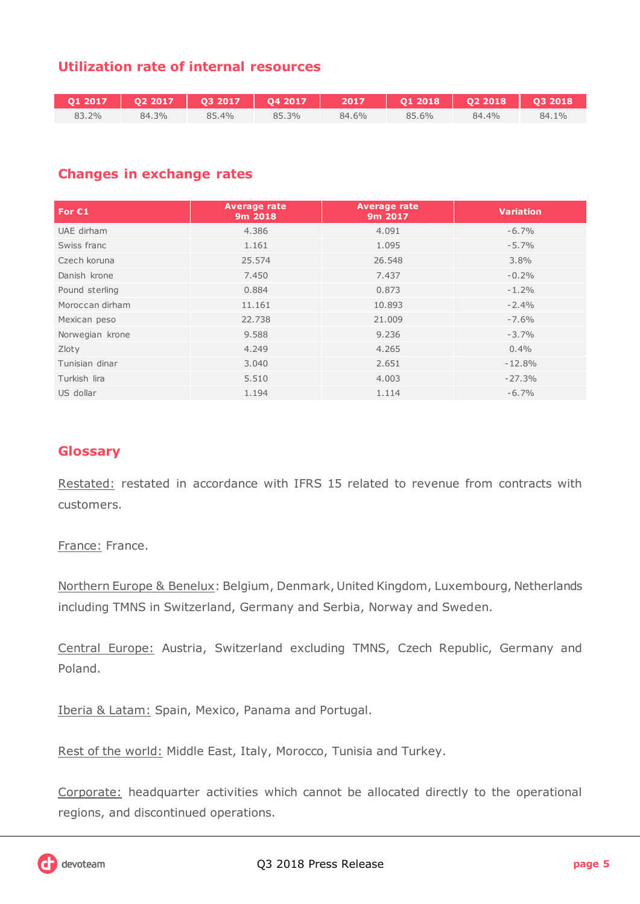### **Utilization rate of internal resources**

|       |       |       |       |       | 7 Q1 2017   Q2 2017   Q3 2017   Q4 2017   2017   Q1 2018   Q2 2018   Q3 2018 |       |       |
|-------|-------|-------|-------|-------|------------------------------------------------------------------------------|-------|-------|
| 83.2% | 84.3% | 85.4% | 85.3% | 84.6% | 85.6%                                                                        | 84.4% | 84.1% |

#### **Changes in exchange rates**

| For $C1$        | <b>Average rate</b><br>9m 2018 | <b>Average rate</b><br>9m 2017 | <b>Variation</b> |
|-----------------|--------------------------------|--------------------------------|------------------|
| UAE dirham      | 4.386                          | 4.091                          | $-6.7%$          |
| Swiss franc     | 1.161                          | 1.095                          | $-5.7%$          |
| Czech koruna    | 25.574                         | 26.548                         | 3.8%             |
| Danish krone    | 7.450                          | 7.437                          | $-0.2%$          |
| Pound sterling  | 0.884                          | 0.873                          | $-1.2%$          |
| Moroccan dirham | 11.161                         | 10.893                         | $-2.4%$          |
| Mexican peso    | 22.738                         | 21,009                         | $-7.6%$          |
| Norwegian krone | 9.588                          | 9.236                          | $-3.7%$          |
| Zloty           | 4.249                          | 4.265                          | 0.4%             |
| Tunisian dinar  | 3.040                          | 2.651                          | $-12.8%$         |
| Turkish lira    | 5.510                          | 4.003                          | $-27.3%$         |
| US dollar       | 1.194                          | 1.114                          | $-6.7%$          |

#### **Glossary**

Restated: restated in accordance with IFRS 15 related to revenue from contracts with customers.

France: France.

Northern Europe & Benelux: Belgium, Denmark, United Kingdom, Luxembourg, Netherlands including TMNS in Switzerland, Germany and Serbia, Norway and Sweden.

Central Europe: Austria, Switzerland excluding TMNS, Czech Republic, Germany and Poland.

Iberia & Latam: Spain, Mexico, Panama and Portugal.

Rest of the world: Middle East, Italy, Morocco, Tunisia and Turkey.

Corporate: headquarter activities which cannot be allocated directly to the operational regions, and discontinued operations.

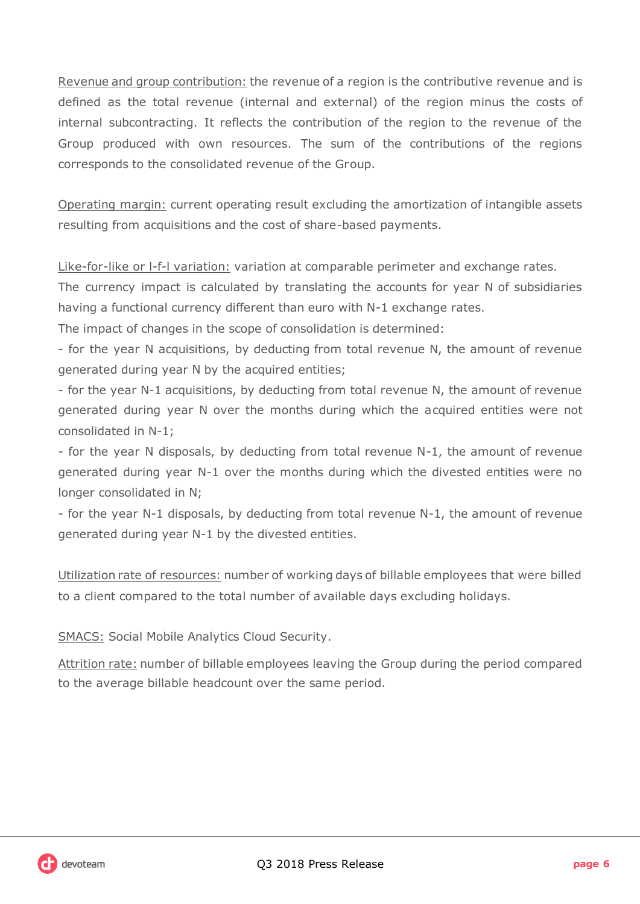Revenue and group contribution: the revenue of a region is the contributive revenue and is defined as the total revenue (internal and external) of the region minus the costs of internal subcontracting. It reflects the contribution of the region to the revenue of the Group produced with own resources. The sum of the contributions of the regions corresponds to the consolidated revenue of the Group.

Operating margin: current operating result excluding the amortization of intangible assets resulting from acquisitions and the cost of share-based payments.

Like-for-like or l-f-l variation: variation at comparable perimeter and exchange rates.

The currency impact is calculated by translating the accounts for year N of subsidiaries having a functional currency different than euro with N-1 exchange rates.

The impact of changes in the scope of consolidation is determined:

- for the year N acquisitions, by deducting from total revenue N, the amount of revenue generated during year N by the acquired entities;

- for the year N-1 acquisitions, by deducting from total revenue N, the amount of revenue generated during year N over the months during which the acquired entities were not consolidated in N-1;

- for the year N disposals, by deducting from total revenue N-1, the amount of revenue generated during year N-1 over the months during which the divested entities were no longer consolidated in N;

- for the year N-1 disposals, by deducting from total revenue N-1, the amount of revenue generated during year N-1 by the divested entities.

Utilization rate of resources: number of working days of billable employees that were billed to a client compared to the total number of available days excluding holidays.

SMACS: Social Mobile Analytics Cloud Security.

Attrition rate: number of billable employees leaving the Group during the period compared to the average billable headcount over the same period.